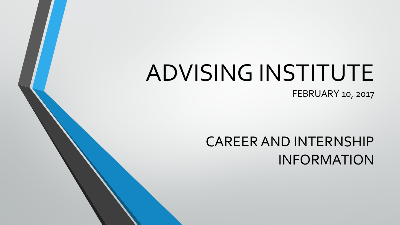# ADVISING INSTITUTE

FEBRUARY 10, 2017

### CAREER AND INTERNSHIP INFORMATION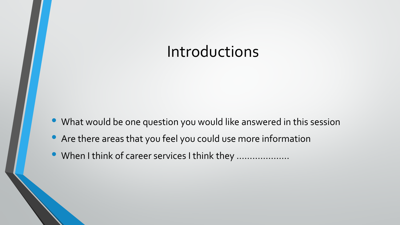### Introductions

- What would be one question you would like answered in this session
- Are there areas that you feel you could use more information
- When I think of career services I think they ....................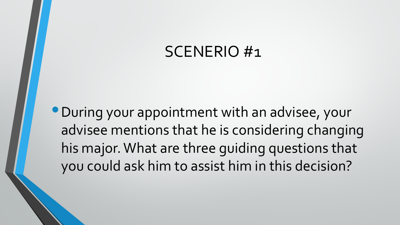### SCENERIO #1

•During your appointment with an advisee, your advisee mentions that he is considering changing his major. What are three guiding questions that you could ask him to assist him in this decision?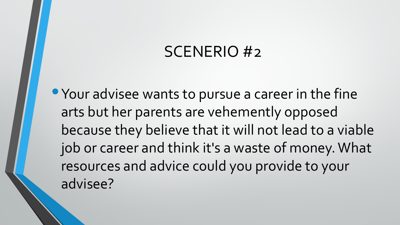### SCENERIO #2

• Your advisee wants to pursue a career in the fine arts but her parents are vehemently opposed because they believe that it will not lead to a viable job or career and think it's a waste of money. What resources and advice could you provide to your advisee?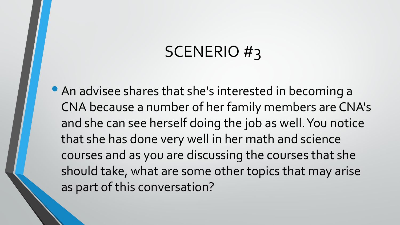### SCENERIO #3

• An advisee shares that she's interested in becoming a CNA because a number of her family members are CNA's and she can see herself doing the job as well. You notice that she has done very well in her math and science courses and as you are discussing the courses that she should take, what are some other topics that may arise as part of this conversation?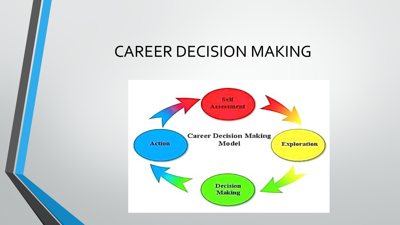### CAREER DECISION MAKING

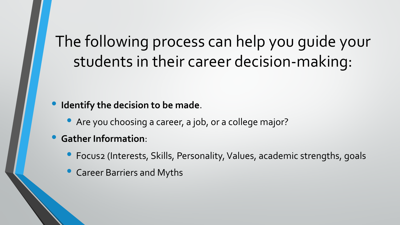## The following process can help you guide your students in their career decision-making:

### • **Identify the decision to be made**.

• Are you choosing a career, a job, or a college major?

### • **Gather Information**:

- Focus2 (Interests, Skills, Personality, Values, academic strengths, goals
- Career Barriers and Myths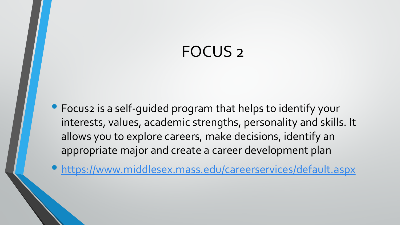### FOCUS 2

• Focus2 is a self-guided program that helps to identify your interests, values, academic strengths, personality and skills. It allows you to explore careers, make decisions, identify an appropriate major and create a career development plan

• <https://www.middlesex.mass.edu/careerservices/default.aspx>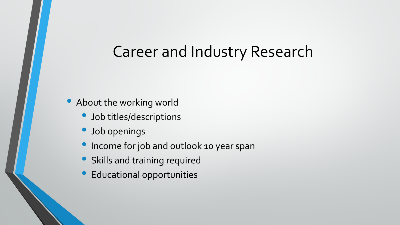### Career and Industry Research

- About the working world
	- Job titles/descriptions
	- Job openings
	- **Income for job and outlook 10 year span**
	- Skills and training required
	- Educational opportunities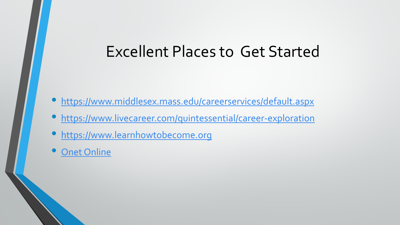### Excellent Places to Get Started

- <https://www.middlesex.mass.edu/careerservices/default.aspx>
- <https://www.livecareer.com/quintessential/career-exploration>
- [https://www.learnhowtobecome.org](https://www.learnhowtobecome.org/)
- **[Onet Online](http://www.onetonline.org/)**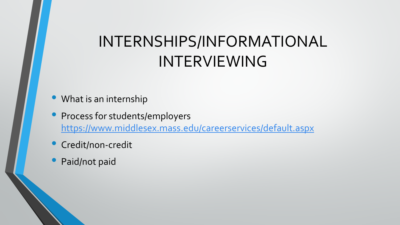## INTERNSHIPS/INFORMATIONAL INTERVIEWING

- What is an internship
- Process for students/employers <https://www.middlesex.mass.edu/careerservices/default.aspx>
- **Credit/non-credit**
- Paid/not paid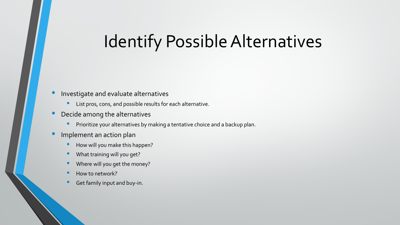### Identify Possible Alternatives

#### • Investigate and evaluate alternatives

- List pros, cons, and possible results for each alternative.
- Decide among the alternatives
	- Prioritize your alternatives by making a tentative choice and a backup plan.
- Implement an action plan
	- How will you make this happen?
	- What training will you get?
	- Where will you get the money?
	- How to network?
	- Get family input and buy-in.